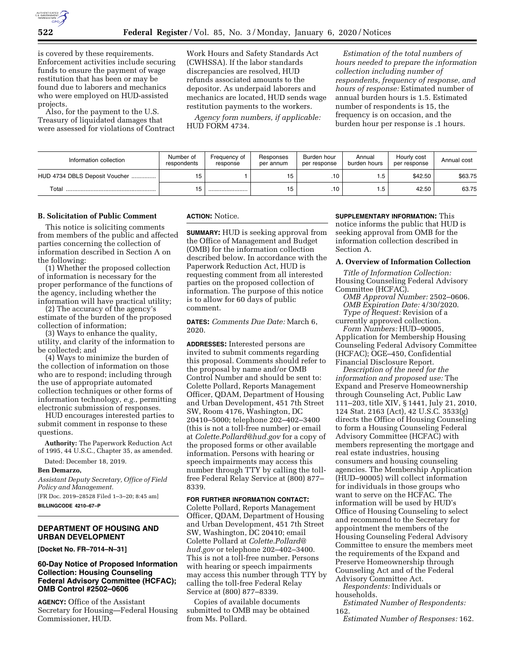

is covered by these requirements. Enforcement activities include securing funds to ensure the payment of wage restitution that has been or may be found due to laborers and mechanics who were employed on HUD-assisted projects.

Also, for the payment to the U.S. Treasury of liquidated damages that were assessed for violations of Contract Work Hours and Safety Standards Act (CWHSSA). If the labor standards discrepancies are resolved, HUD refunds associated amounts to the depositor. As underpaid laborers and mechanics are located, HUD sends wage restitution payments to the workers.

*Agency form numbers, if applicable:*  HUD FORM 4734.

*Estimation of the total numbers of hours needed to prepare the information collection including number of respondents, frequency of response, and hours of response:* Estimated number of annual burden hours is 1.5. Estimated number of respondents is 15, the frequency is on occasion, and the burden hour per response is .1 hours.

| Information collection        | Number of<br>respondents | Frequency of<br>response | Responses<br>per annum | Burden hour<br>per response | Annual<br>burden hours | Hourly cost<br>per response | Annual cost |
|-------------------------------|--------------------------|--------------------------|------------------------|-----------------------------|------------------------|-----------------------------|-------------|
| HUD 4734 DBLS Deposit Voucher |                          |                          | 15                     | .10                         | l.5                    | \$42.50                     | \$63.75     |
| Total                         | . נ                      |                          | 15                     | .10                         | ۱.5                    | 42.50                       | 63.75       |

### **B. Solicitation of Public Comment**

This notice is soliciting comments from members of the public and affected parties concerning the collection of information described in Section A on the following:

(1) Whether the proposed collection of information is necessary for the proper performance of the functions of the agency, including whether the information will have practical utility;

(2) The accuracy of the agency's estimate of the burden of the proposed collection of information;

(3) Ways to enhance the quality, utility, and clarity of the information to be collected; and

(4) Ways to minimize the burden of the collection of information on those who are to respond; including through the use of appropriate automated collection techniques or other forms of information technology, *e.g.,* permitting electronic submission of responses.

HUD encourages interested parties to submit comment in response to these questions.

**Authority:** The Paperwork Reduction Act of 1995, 44 U.S.C., Chapter 35, as amended.

Dated: December 18, 2019.

## **Ben Demarzo,**

*Assistant Deputy Secretary, Office of Field Policy and Management.* 

[FR Doc. 2019–28528 Filed 1–3–20; 8:45 am] **BILLINGCODE 4210–67–P** 

# **DEPARTMENT OF HOUSING AND URBAN DEVELOPMENT**

**[Docket No. FR–7014–N–31]** 

### **60-Day Notice of Proposed Information Collection: Housing Counseling Federal Advisory Committee (HCFAC); OMB Control #2502–0606**

**AGENCY:** Office of the Assistant Secretary for Housing—Federal Housing Commissioner, HUD.

#### **ACTION:** Notice.

**SUMMARY:** HUD is seeking approval from the Office of Management and Budget (OMB) for the information collection described below. In accordance with the Paperwork Reduction Act, HUD is requesting comment from all interested parties on the proposed collection of information. The purpose of this notice is to allow for 60 days of public comment.

**DATES:** *Comments Due Date:* March 6, 2020.

**ADDRESSES:** Interested persons are invited to submit comments regarding this proposal. Comments should refer to the proposal by name and/or OMB Control Number and should be sent to: Colette Pollard, Reports Management Officer, QDAM, Department of Housing and Urban Development, 451 7th Street SW, Room 4176, Washington, DC 20410–5000; telephone 202–402–3400 (this is not a toll-free number) or email at *[Colette.Pollard@hud.gov](mailto:Colette.Pollard@hud.gov)* for a copy of the proposed forms or other available information. Persons with hearing or speech impairments may access this number through TTY by calling the tollfree Federal Relay Service at (800) 877– 8339.

### **FOR FURTHER INFORMATION CONTACT:**

Colette Pollard, Reports Management Officer, QDAM, Department of Housing and Urban Development, 451 7th Street SW, Washington, DC 20410; email Colette Pollard at *[Colette.Pollard@](mailto:Colette.Pollard@hud.gov) [hud.gov](mailto:Colette.Pollard@hud.gov)* or telephone 202–402–3400. This is not a toll-free number. Persons with hearing or speech impairments may access this number through TTY by calling the toll-free Federal Relay Service at (800) 877–8339.

Copies of available documents submitted to OMB may be obtained from Ms. Pollard.

#### **SUPPLEMENTARY INFORMATION:** This

notice informs the public that HUD is seeking approval from OMB for the information collection described in Section A.

#### **A. Overview of Information Collection**

*Title of Information Collection:*  Housing Counseling Federal Advisory Committee (HCFAC).

*OMB Approval Number:* 2502–0606. *OMB Expiration Date:* 4/30/2020. *Type of Request:* Revision of a currently approved collection.

*Form Numbers:* HUD–90005, Application for Membership Housing Counseling Federal Advisory Committee (HCFAC); OGE–450, Confidential Financial Disclosure Report.

*Description of the need for the information and proposed use:* The Expand and Preserve Homeownership through Counseling Act, Public Law 111–203, title XIV, § 1441, July 21, 2010, 124 Stat. 2163 (Act), 42 U.S.C. 3533(g) directs the Office of Housing Counseling to form a Housing Counseling Federal Advisory Committee (HCFAC) with members representing the mortgage and real estate industries, housing consumers and housing counseling agencies. The Membership Application (HUD–90005) will collect information for individuals in those groups who want to serve on the HCFAC. The information will be used by HUD's Office of Housing Counseling to select and recommend to the Secretary for appointment the members of the Housing Counseling Federal Advisory Committee to ensure the members meet the requirements of the Expand and Preserve Homeownership through Counseling Act and of the Federal Advisory Committee Act.

*Respondents:* Individuals or households.

*Estimated Number of Respondents:*  162.

*Estimated Number of Responses:* 162.